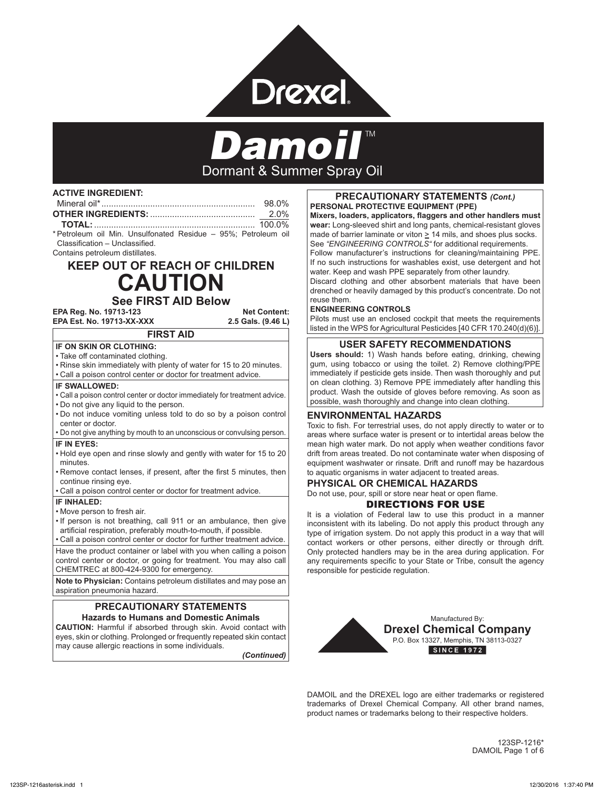

# Dormant & Summer Spray Oil

#### **ACTIVE INGREDIENT:**

| 98 0% |
|-------|
| 2 0%  |
|       |

\* Petroleum oil Min. Unsulfonated Residue – 95%; Petroleum oil Classification – Unclassified. Contains petroleum distillates.

# **KEEP OUT OF REACH OF CHILDREN CAUTION**

### **See FIRST AID Below**

**EPA Reg. No. 19713-123 Net Content: EPA Est. No. 19713-XX-XXX** 

## **FIRST AID**

**IF ON SKIN OR CLOTHING:**

• Take off contaminated clothing.

• Rinse skin immediately with plenty of water for 15 to 20 minutes.

• Call a poison control center or doctor for treatment advice.

#### **IF SWALLOWED:**

• Call a poison control center or doctor immediately for treatment advice. • Do not give any liquid to the person.

• Do not induce vomiting unless told to do so by a poison control center or doctor.

• Do not give anything by mouth to an unconscious or convulsing person. **IF IN EYES:**

• Hold eye open and rinse slowly and gently with water for 15 to 20 minutes.

• Remove contact lenses, if present, after the first 5 minutes, then continue rinsing eye.

• Call a poison control center or doctor for treatment advice.

#### **IF INHALED:**

• Move person to fresh air.

• If person is not breathing, call 911 or an ambulance, then give artificial respiration, preferably mouth-to-mouth, if possible.

• Call a poison control center or doctor for further treatment advice.

Have the product container or label with you when calling a poison control center or doctor, or going for treatment. You may also call CHEMTREC at 800-424-9300 for emergency.

**Note to Physician:** Contains petroleum distillates and may pose an aspiration pneumonia hazard.

#### **PRECAUTIONARY STATEMENTS Hazards to Humans and Domestic Animals**

**CAUTION:** Harmful if absorbed through skin. Avoid contact with eyes, skin or clothing. Prolonged or frequently repeated skin contact may cause allergic reactions in some individuals.

*(Continued)*

#### **PRECAUTIONARY STATEMENTS** *(Cont.)* **PERSONAL PROTECTIVE EQUIPMENT (PPE)**

**Mixers, loaders, applicators, flaggers and other handlers must wear:** Long-sleeved shirt and long pants, chemical-resistant gloves made of barrier laminate or viton > 14 mils, and shoes plus socks. See *"ENGINEERING CONTROLS"* for additional requirements. Follow manufacturer's instructions for cleaning/maintaining PPE. If no such instructions for washables exist, use detergent and hot water. Keep and wash PPE separately from other laundry.

Discard clothing and other absorbent materials that have been drenched or heavily damaged by this product's concentrate. Do not reuse them.

#### **ENGINEERING CONTROLS**

Pilots must use an enclosed cockpit that meets the requirements listed in the WPS for Agricultural Pesticides [40 CFR 170.240(d)(6)].

#### **USER SAFETY RECOMMENDATIONS**

**Users should:** 1) Wash hands before eating, drinking, chewing gum, using tobacco or using the toilet. 2) Remove clothing/PPE immediately if pesticide gets inside. Then wash thoroughly and put on clean clothing. 3) Remove PPE immediately after handling this product. Wash the outside of gloves before removing. As soon as possible, wash thoroughly and change into clean clothing.

#### **ENVIRONMENTAL HAZARDS**

Toxic to fish. For terrestrial uses, do not apply directly to water or to areas where surface water is present or to intertidal areas below the mean high water mark. Do not apply when weather conditions favor drift from areas treated. Do not contaminate water when disposing of equipment washwater or rinsate. Drift and runoff may be hazardous to aquatic organisms in water adjacent to treated areas.

#### **PHYSICAL OR CHEMICAL HAZARDS**

Do not use, pour, spill or store near heat or open flame.

#### DIRECTIONS FOR USE

It is a violation of Federal law to use this product in a manner inconsistent with its labeling. Do not apply this product through any type of irrigation system. Do not apply this product in a way that will contact workers or other persons, either directly or through drift. Only protected handlers may be in the area during application. For any requirements specific to your State or Tribe, consult the agency responsible for pesticide regulation.



DAMOIL and the DREXEL logo are either trademarks or registered trademarks of Drexel Chemical Company. All other brand names, product names or trademarks belong to their respective holders.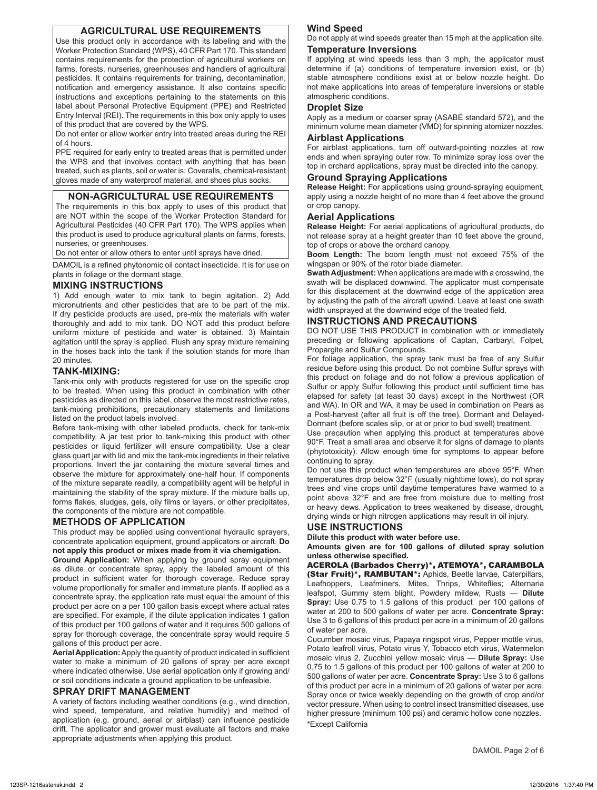#### **AGRICULTURAL USE REQUIREMENTS**

Use this product only in accordance with its labeling and with the Worker Protection Standard (WPS), 40 CFR Part 170. This standard contains requirements for the protection of agricultural workers on farms, forests, nurseries, greenhouses and handlers of agricultural pesticides. It contains requirements for training, decontamination, notification and emergency assistance. It also contains specific instructions and exceptions pertaining to the statements on this label about Personal Protective Equipment (PPE) and Restricted Entry Interval (REI). The requirements in this box only apply to uses of this product that are covered by the WPS.

Do not enter or allow worker entry into treated areas during the REI of 4 hours.

PPE required for early entry to treated areas that is permitted under the WPS and that involves contact with anything that has been treated, such as plants, soil or water is: Coveralls, chemical-resistant gloves made of any waterproof material, and shoes plus socks.

#### **NON-AGRICULTURAL USE REQUIREMENTS**

The requirements in this box apply to uses of this product that are NOT within the scope of the Worker Protection Standard for Agricultural Pesticides (40 CFR Part 170). The WPS applies when this product is used to produce agricultural plants on farms, forests, nurseries, or greenhouses.

Do not enter or allow others to enter until sprays have dried.

DAMOIL is a refined phytonomic oil contact insecticide. It is for use on plants in foliage or the dormant stage.

#### **MIXING INSTRUCTIONS**

1) Add enough water to mix tank to begin agitation. 2) Add micronutrients and other pesticides that are to be part of the mix. If dry pesticide products are used, pre-mix the materials with water thoroughly and add to mix tank. DO NOT add this product before uniform mixture of pesticide and water is obtained. 3) Maintain agitation until the spray is applied. Flush any spray mixture remaining in the hoses back into the tank if the solution stands for more than 20 minutes.

#### **TANK-MIXING:**

Tank-mix only with products registered for use on the specific crop to be treated. When using this product in combination with other pesticides as directed on this label, observe the most restrictive rates, tank-mixing prohibitions, precautionary statements and limitations listed on the product labels involved.

Before tank-mixing with other labeled products, check for tank-mix compatibility. A jar test prior to tank-mixing this product with other pesticides or liquid fertilizer will ensure compatibility. Use a clear glass quart jar with lid and mix the tank-mix ingredients in their relative proportions. Invert the jar containing the mixture several times and observe the mixture for approximately one-half hour. If components of the mixture separate readily, a compatibility agent will be helpful in maintaining the stability of the spray mixture. If the mixture balls up, forms flakes, sludges, gels, oily films or layers, or other precipitates, the components of the mixture are not compatible.

#### **METHODS OF APPLICATION**

This product may be applied using conventional hydraulic sprayers, concentrate application equipment, ground applicators or aircraft. **Do not apply this product or mixes made from it via chemigation.**

**Ground Application:** When applying by ground spray equipment as dilute or concentrate spray, apply the labeled amount of this product in sufficient water for thorough coverage. Reduce spray volume proportionally for smaller and immature plants. If applied as a concentrate spray, the application rate must equal the amount of this product per acre on a per 100 gallon basis except where actual rates are specified. For example, if the dilute application indicates 1 gallon of this product per 100 gallons of water and it requires 500 gallons of spray for thorough coverage, the concentrate spray would require 5 gallons of this product per acre.

**Aerial Application:** Apply the quantity of product indicated in sufficient water to make a minimum of 20 gallons of spray per acre except where indicated otherwise. Use aerial application only if growing and/ or soil conditions indicate a ground application to be unfeasible.

#### **SPRAY DRIFT MANAGEMENT**

A variety of factors including weather conditions (e.g., wind direction, wind speed, temperature, and relative humidity) and method of application (e.g. ground, aerial or airblast) can influence pesticide drift. The applicator and grower must evaluate all factors and make appropriate adjustments when applying this product.

#### **Wind Speed**

Do not apply at wind speeds greater than 15 mph at the application site.

#### **Temperature Inversions**

If applying at wind speeds less than 3 mph, the applicator must determine if (a) conditions of temperature inversion exist, or (b) stable atmosphere conditions exist at or below nozzle height. Do not make applications into areas of temperature inversions or stable atmospheric conditions.

#### **Droplet Size**

Apply as a medium or coarser spray (ASABE standard 572), and the minimum volume mean diameter (VMD) for spinning atomizer nozzles.

#### **Airblast Applications**

For airblast applications, turn off outward-pointing nozzles at row ends and when spraying outer row. To minimize spray loss over the top in orchard applications, spray must be directed into the canopy.

#### **Ground Spraying Applications**

**Release Height:** For applications using ground-spraying equipment, apply using a nozzle height of no more than 4 feet above the ground or crop canopy.

#### **Aerial Applications**

**Release Height:** For aerial applications of agricultural products, do not release spray at a height greater than 10 feet above the ground, top of crops or above the orchard canopy.

**Boom Length:** The boom length must not exceed 75% of the wingspan or 90% of the rotor blade diameter.

**Swath Adjustment:** When applications are made with a crosswind, the swath will be displaced downwind. The applicator must compensate for this displacement at the downwind edge of the application area by adjusting the path of the aircraft upwind. Leave at least one swath width unsprayed at the downwind edge of the treated field.

#### **INSTRUCTIONS AND PRECAUTIONS**

DO NOT USE THIS PRODUCT in combination with or immediately preceding or following applications of Captan, Carbaryl, Folpet, Propargite and Sulfur Compounds.

For foliage application, the spray tank must be free of any Sulfur residue before using this product. Do not combine Sulfur sprays with this product on foliage and do not follow a previous application of Sulfur or apply Sulfur following this product until sufficient time has elapsed for safety (at least 30 days) except in the Northwest (OR and WA). In OR and WA, it may be used in combination on Pears as a Post-harvest (after all fruit is off the tree), Dormant and Delayed-Dormant (before scales slip, or at or prior to bud swell) treatment.

Use precaution when applying this product at temperatures above 90°F. Treat a small area and observe it for signs of damage to plants (phytotoxicity). Allow enough time for symptoms to appear before continuing to spray.

Do not use this product when temperatures are above 95°F. When temperatures drop below 32°F (usually nighttime lows), do not spray trees and vine crops until daytime temperatures have warmed to a point above 32°F and are free from moisture due to melting frost or heavy dews. Application to trees weakened by disease, drought, drying winds or high nitrogen applications may result in oil injury.

#### **USE INSTRUCTIONS**

of water per acre.

**Dilute this product with water before use.**

**Amounts given are for 100 gallons of diluted spray solution unless otherwise specified.**

ACEROLA (Barbados Cherry)\*, ATEMOYA\*, CARAMBOLA (Star Fruit)\*, RAMBUTAN\*: Aphids, Beetle larvae, Caterpillars, Leafhoppers, Leafminers, Mites, Thrips, Whiteflies; Alternaria leafspot, Gummy stem blight, Powdery mildew, Rusts — **Dilute Spray:** Use 0.75 to 1.5 gallons of this product per 100 gallons of water at 200 to 500 gallons of water per acre. **Concentrate Spray:**  Use 3 to 6 gallons of this product per acre in a minimum of 20 gallons

Cucumber mosaic virus, Papaya ringspot virus, Pepper mottle virus, Potato leafroll virus, Potato virus Y, Tobacco etch virus, Watermelon mosaic virus 2, Zucchini yellow mosaic virus — **Dilute Spray:** Use 0.75 to 1.5 gallons of this product per 100 gallons of water at 200 to 500 gallons of water per acre. **Concentrate Spray:** Use 3 to 6 gallons of this product per acre in a minimum of 20 gallons of water per acre. Spray once or twice weekly depending on the growth of crop and/or vector pressure. When using to control insect transmitted diseases, use higher pressure (minimum 100 psi) and ceramic hollow cone nozzles. \*Except California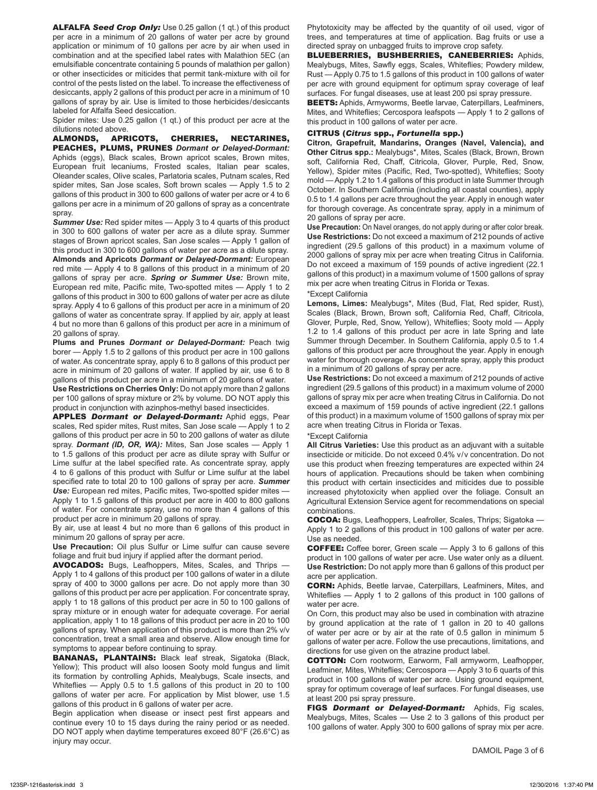ALFALFA *Seed Crop Only:* Use 0.25 gallon (1 qt.) of this product per acre in a minimum of 20 gallons of water per acre by ground application or minimum of 10 gallons per acre by air when used in combination and at the specified label rates with Malathion 5EC (an emulsifiable concentrate containing 5 pounds of malathion per gallon) or other insecticides or miticides that permit tank-mixture with oil for control of the pests listed on the label. To increase the effectiveness of desiccants, apply 2 gallons of this product per acre in a minimum of 10 gallons of spray by air. Use is limited to those herbicides / desiccants labeled for Alfalfa Seed desiccation.

Spider mites: Use 0.25 gallon (1 qt.) of this product per acre at the dilutions noted above.

ALMONDS, APRICOTS, CHERRIES, NECTARINES, PEACHES, PLUMS, PRUNES *Dormant or Delayed-Dormant:* Aphids (eggs), Black scales, Brown apricot scales, Brown mites, European fruit lecaniums, Frosted scales, Italian pear scales, Oleander scales, Olive scales, Parlatoria scales, Putnam scales, Red spider mites, San Jose scales, Soft brown scales — Apply 1.5 to 2 gallons of this product in 300 to 600 gallons of water per acre or 4 to 6 gallons per acre in a minimum of 20 gallons of spray as a concentrate spray.

*Summer Use:* Red spider mites — Apply 3 to 4 quarts of this product in 300 to 600 gallons of water per acre as a dilute spray. Summer stages of Brown apricot scales, San Jose scales — Apply 1 gallon of this product in 300 to 600 gallons of water per acre as a dilute spray. **Almonds and Apricots** *Dormant or Delayed-Dormant:* European red mite — Apply 4 to 8 gallons of this product in a minimum of 20 gallons of spray per acre. *Spring or Summer Use:* Brown mite, European red mite, Pacific mite, Two-spotted mites — Apply 1 to 2 gallons of this product in 300 to 600 gallons of water per acre as dilute spray. Apply 4 to 6 gallons of this product per acre in a minimum of 20 gallons of water as concentrate spray. If applied by air, apply at least 4 but no more than 6 gallons of this product per acre in a minimum of 20 gallons of spray.

**Plums and Prunes** *Dormant or Delayed-Dormant:* Peach twig borer — Apply 1.5 to 2 gallons of this product per acre in 100 gallons of water. As concentrate spray, apply 6 to 8 gallons of this product per acre in minimum of 20 gallons of water. If applied by air, use 6 to 8 gallons of this product per acre in a minimum of 20 gallons of water.

**Use Restrictions on Cherries Only:** Do not apply more than 2 gallons per 100 gallons of spray mixture or 2% by volume. DO NOT apply this product in conjunction with azinphos-methyl based insecticides.

APPLES *Dormant or Delayed-Dormant:* Aphid eggs, Pear scales, Red spider mites, Rust mites, San Jose scale — Apply 1 to 2 gallons of this product per acre in 50 to 200 gallons of water as dilute spray. *Dormant (ID, OR, WA):* Mites, San Jose scales — Apply 1 to 1.5 gallons of this product per acre as dilute spray with Sulfur or Lime sulfur at the label specified rate. As concentrate spray, apply 4 to 6 gallons of this product with Sulfur or Lime sulfur at the label specified rate to total 20 to 100 gallons of spray per acre. *Summer Use:* European red mites, Pacific mites, Two-spotted spider mites — Apply 1 to 1.5 gallons of this product per acre in 400 to 800 gallons of water. For concentrate spray, use no more than 4 gallons of this product per acre in minimum 20 gallons of spray.

By air, use at least 4 but no more than 6 gallons of this product in minimum 20 gallons of spray per acre.

**Use Precaution:** Oil plus Sulfur or Lime sulfur can cause severe foliage and fruit bud injury if applied after the dormant period.

AVOCADOS: Bugs, Leafhoppers, Mites, Scales, and Thrips — Apply 1 to 4 gallons of this product per 100 gallons of water in a dilute spray of 400 to 3000 gallons per acre. Do not apply more than 30 gallons of this product per acre per application. For concentrate spray, apply 1 to 18 gallons of this product per acre in 50 to 100 gallons of spray mixture or in enough water for adequate coverage. For aerial application, apply 1 to 18 gallons of this product per acre in 20 to 100 gallons of spray. When application of this product is more than 2% v/v concentration, treat a small area and observe. Allow enough time for symptoms to appear before continuing to spray.

BANANAS, PLANTAINS: Black leaf streak, Sigatoka (Black, Yellow); This product will also loosen Sooty mold fungus and limit its formation by controlling Aphids, Mealybugs, Scale insects, and Whiteflies — Apply 0.5 to 1.5 gallons of this product in 20 to 100 gallons of water per acre. For application by Mist blower, use 1.5 gallons of this product in 6 gallons of water per acre.

Begin application when disease or insect pest first appears and continue every 10 to 15 days during the rainy period or as needed. DO NOT apply when daytime temperatures exceed 80°F (26.6°C) as injury may occur.

Phytotoxicity may be affected by the quantity of oil used, vigor of trees, and temperatures at time of application. Bag fruits or use a directed spray on unbagged fruits to improve crop safety.

BLUEBERRIES, BUSHBERRIES, CANEBERRIES: Aphids, Mealybugs, Mites, Sawfly eggs, Scales, Whiteflies; Powdery mildew, Rust — Apply 0.75 to 1.5 gallons of this product in 100 gallons of water per acre with ground equipment for optimum spray coverage of leaf surfaces. For fungal diseases, use at least 200 psi spray pressure.

BEETS: Aphids, Armyworms, Beetle larvae, Caterpillars, Leafminers, Mites, and Whiteflies; Cercospora leafspots — Apply 1 to 2 gallons of this product in 100 gallons of water per acre.

#### CITRUS (*Citrus* spp., *Fortunella* spp.)

**Citron, Grapefruit, Mandarins, Oranges (Navel, Valencia), and Other Citrus spp.:** Mealybugs\*, Mites, Scales (Black, Brown, Brown soft, California Red, Chaff, Citricola, Glover, Purple, Red, Snow, Yellow), Spider mites (Pacific, Red, Two-spotted), Whiteflies; Sooty mold — Apply 1.2 to 1.4 gallons of this product in late Summer through October. In Southern California (including all coastal counties), apply 0.5 to 1.4 gallons per acre throughout the year. Apply in enough water for thorough coverage. As concentrate spray, apply in a minimum of 20 gallons of spray per acre.

**Use Precaution:** On Navel oranges, do not apply during or after color break. **Use Restrictions:** Do not exceed a maximum of 212 pounds of active ingredient (29.5 gallons of this product) in a maximum volume of 2000 gallons of spray mix per acre when treating Citrus in California. Do not exceed a maximum of 159 pounds of active ingredient (22.1 gallons of this product) in a maximum volume of 1500 gallons of spray mix per acre when treating Citrus in Florida or Texas.

#### \*Except California

**Lemons, Limes:** Mealybugs\*, Mites (Bud, Flat, Red spider, Rust), Scales (Black, Brown, Brown soft, California Red, Chaff, Citricola, Glover, Purple, Red, Snow, Yellow), Whiteflies; Sooty mold — Apply 1.2 to 1.4 gallons of this product per acre in late Spring and late Summer through December. In Southern California, apply 0.5 to 1.4 gallons of this product per acre throughout the year. Apply in enough water for thorough coverage. As concentrate spray, apply this product in a minimum of 20 gallons of spray per acre.

**Use Restrictions:** Do not exceed a maximum of 212 pounds of active ingredient (29.5 gallons of this product) in a maximum volume of 2000 gallons of spray mix per acre when treating Citrus in California. Do not exceed a maximum of 159 pounds of active ingredient (22.1 gallons of this product) in a maximum volume of 1500 gallons of spray mix per acre when treating Citrus in Florida or Texas.

#### \*Except California

**All Citrus Varieties:** Use this product as an adjuvant with a suitable insecticide or miticide. Do not exceed 0.4% v/v concentration. Do not use this product when freezing temperatures are expected within 24 hours of application. Precautions should be taken when combining this product with certain insecticides and miticides due to possible increased phytotoxicity when applied over the foliage. Consult an Agricultural Extension Service agent for recommendations on special combinations.

COCOA: Bugs, Leafhoppers, Leafroller, Scales, Thrips; Sigatoka — Apply 1 to 2 gallons of this product in 100 gallons of water per acre. Use as needed.

COFFEE: Coffee borer, Green scale — Apply 3 to 6 gallons of this product in 100 gallons of water per acre. Use water only as a diluent. **Use Restriction:** Do not apply more than 6 gallons of this product per acre per application.

CORN: Aphids, Beetle larvae, Caterpillars, Leafminers, Mites, and Whiteflies — Apply 1 to 2 gallons of this product in 100 gallons of water per acre.

On Corn, this product may also be used in combination with atrazine by ground application at the rate of 1 gallon in 20 to 40 gallons of water per acre or by air at the rate of 0.5 gallon in minimum 5 gallons of water per acre. Follow the use precautions, limitations, and directions for use given on the atrazine product label.

COTTON: Corn rootworm, Earworm, Fall armyworm, Leafhopper, Leafminer, Mites, Whiteflies; Cercospora — Apply 3 to 6 quarts of this product in 100 gallons of water per acre. Using ground equipment, spray for optimum coverage of leaf surfaces. For fungal diseases, use at least 200 psi spray pressure.

FIGS *Dormant or Delayed-Dormant:* Aphids, Fig scales, Mealybugs, Mites, Scales — Use 2 to 3 gallons of this product per 100 gallons of water. Apply 300 to 600 gallons of spray mix per acre.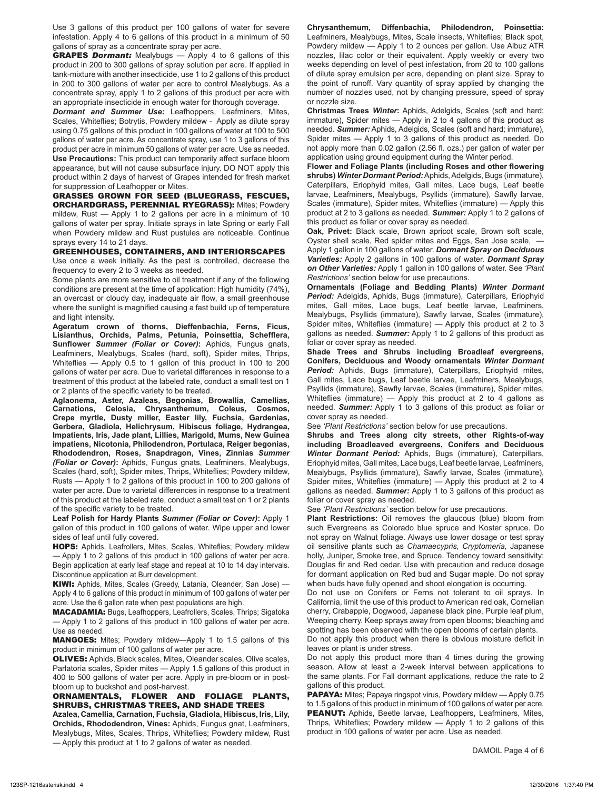Use 3 gallons of this product per 100 gallons of water for severe infestation. Apply 4 to 6 gallons of this product in a minimum of 50 gallons of spray as a concentrate spray per acre.

GRAPES *Dormant:* Mealybugs — Apply 4 to 6 gallons of this product in 200 to 300 gallons of spray solution per acre. If applied in tank-mixture with another insecticide, use 1 to 2 gallons of this product in 200 to 300 gallons of water per acre to control Mealybugs. As a concentrate spray, apply 1 to 2 gallons of this product per acre with an appropriate insecticide in enough water for thorough coverage.

*Dormant and Summer Use:* Leafhoppers, Leafminers, Mites, Scales, Whiteflies; Botrytis, Powdery mildew - Apply as dilute spray using 0.75 gallons of this product in 100 gallons of water at 100 to 500 gallons of water per acre. As concentrate spray, use 1 to 3 gallons of this product per acre in minimum 50 gallons of water per acre. Use as needed. **Use Precautions:** This product can temporarily affect surface bloom appearance, but will not cause subsurface injury. DO NOT apply this product within 2 days of harvest of Grapes intended for fresh market for suppression of Leafhopper or Mites.

GRASSES GROWN FOR SEED (BLUEGRASS, FESCUES, ORCHARDGRASS, PERENNIAL RYEGRASS): Mites; Powdery mildew, Rust — Apply 1 to 2 gallons per acre in a minimum of 10 gallons of water per spray. Initiate sprays in late Spring or early Fall when Powdery mildew and Rust pustules are noticeable. Continue

#### sprays every 14 to 21 days. GREENHOUSES, CONTAINERS, AND INTERIORSCAPES

Use once a week initially. As the pest is controlled, decrease the frequency to every 2 to 3 weeks as needed.

Some plants are more sensitive to oil treatment if any of the following conditions are present at the time of application: High humidity (74%), an overcast or cloudy day, inadequate air flow, a small greenhouse where the sunlight is magnified causing a fast build up of temperature and light intensity.

**Ageratum crown of thorns, Dieffenbachia, Ferns, Ficus, Lisianthus, Orchids, Palms, Petunia, Poinsettia, Schefflera, Sunflower** *Summer (Foliar or Cover)***:** Aphids, Fungus gnats, Leafminers, Mealybugs, Scales (hard, soft), Spider mites, Thrips, Whiteflies — Apply 0.5 to 1 gallon of this product in 100 to 200 gallons of water per acre. Due to varietal differences in response to a treatment of this product at the labeled rate, conduct a small test on 1 or 2 plants of the specific variety to be treated.

**Aglaonema, Aster, Azaleas, Begonias, Browallia, Camellias, Carnations, Celosia, Chrysanthemum, Coleus, Cosmos, Crepe myrtle, Dusty miller, Easter lily, Fuchsia, Gardenias, Gerbera, Gladiola, Helichrysum, Hibiscus foliage, Hydrangea, Impatients, Iris, Jade plant, Lillies, Marigold, Mums, New Guinea impatiens, Nicotonia, Philodendron, Portulaca, Reiger begonias, Rhododendron, Roses, Snapdragon, Vines, Zinnias** *Summer (Foliar or Cover)***:** Aphids, Fungus gnats, Leafminers, Mealybugs, Scales (hard, soft), Spider mites, Thrips, Whiteflies; Powdery mildew, Rusts — Apply 1 to 2 gallons of this product in 100 to 200 gallons of water per acre. Due to varietal differences in response to a treatment of this product at the labeled rate, conduct a small test on 1 or 2 plants of the specific variety to be treated.

**Leaf Polish for Hardy Plants** *Summer (Foliar or Cover)***:** Apply 1 gallon of this product in 100 gallons of water. Wipe upper and lower sides of leaf until fully covered.

HOPS: Aphids, Leafrollers, Mites, Scales, Whiteflies; Powdery mildew — Apply 1 to 2 gallons of this product in 100 gallons of water per acre. Begin application at early leaf stage and repeat at 10 to 14 day intervals. Discontinue application at Burr development.

KIWI: Aphids, Mites, Scales (Greedy, Latania, Oleander, San Jose) — Apply 4 to 6 gallons of this product in minimum of 100 gallons of water per acre. Use the 6 gallon rate when pest populations are high.

MACADAMIA: Bugs, Leafhoppers, Leafrollers, Scales, Thrips; Sigatoka — Apply 1 to 2 gallons of this product in 100 gallons of water per acre. Use as needed.

MANGOES: Mites; Powdery mildew—Apply 1 to 1.5 gallons of this product in minimum of 100 gallons of water per acre.

**OLIVES:** Aphids, Black scales, Mites, Oleander scales, Olive scales, Parlatoria scales, Spider mites — Apply 1.5 gallons of this product in 400 to 500 gallons of water per acre. Apply in pre-bloom or in postbloom up to buckshot and post-harvest.

ORNAMENTALS, FLOWER AND FOLIAGE PLANTS, SHRUBS, CHRISTMAS TREES, AND SHADE TREES

**Azalea, Camellia, Carnation, Fuchsia, Gladiola, Hibiscus, Iris, Lily, Orchids, Rhododendron, Vines:** Aphids, Fungus gnat, Leafminers, Mealybugs, Mites, Scales, Thrips, Whiteflies; Powdery mildew, Rust — Apply this product at 1 to 2 gallons of water as needed.

**Chrysanthemum, Diffenbachia, Philodendron, Poinsettia:** Leafminers, Mealybugs, Mites, Scale insects, Whiteflies; Black spot, Powdery mildew — Apply 1 to 2 ounces per gallon. Use Albuz ATR nozzles, lilac color or their equivalent. Apply weekly or every two weeks depending on level of pest infestation, from 20 to 100 gallons of dilute spray emulsion per acre, depending on plant size. Spray to the point of runoff. Vary quantity of spray applied by changing the number of nozzles used, not by changing pressure, speed of spray or nozzle size.

**Christmas Trees** *Winter***:** Aphids, Adelgids, Scales (soft and hard; immature), Spider mites — Apply in 2 to 4 gallons of this product as needed. *Summer:* Aphids, Adelgids, Scales (soft and hard; immature), Spider mites — Apply 1 to 3 gallons of this product as needed. Do not apply more than 0.02 gallon (2.56 fl. ozs.) per gallon of water per application using ground equipment during the Winter period.

**Flower and Foliage Plants (including Roses and other flowering shrubs)** *Winter Dormant Period:* Aphids, Adelgids, Bugs (immature), Caterpillars, Eriophyid mites, Gall mites, Lace bugs, Leaf beetle larvae, Leafminers, Mealybugs, Psyllids (immature), Sawfly larvae, Scales (immature), Spider mites, Whiteflies (immature) — Apply this product at 2 to 3 gallons as needed. *Summer:* Apply 1 to 2 gallons of this product as foliar or cover spray as needed.

**Oak, Privet:** Black scale, Brown apricot scale, Brown soft scale, Oyster shell scale, Red spider mites and Eggs, San Jose scale, — Apply 1 gallon in 100 gallons of water. *Dormant Spray on Deciduous Varieties:* Apply 2 gallons in 100 gallons of water. *Dormant Spray on Other Varieties:* Apply 1 gallon in 100 gallons of water. See *'Plant Restrictions'* section below for use precautions.

**Ornamentals (Foliage and Bedding Plants)** *Winter Dormant Period:* Adelgids, Aphids, Bugs (immature), Caterpillars, Eriophyid mites, Gall mites, Lace bugs, Leaf beetle larvae, Leafminers, Mealybugs, Psyllids (immature), Sawfly larvae, Scales (immature), Spider mites, Whiteflies (immature) — Apply this product at 2 to 3 gallons as needed. *Summer:* Apply 1 to 2 gallons of this product as foliar or cover spray as needed.

**Shade Trees and Shrubs including Broadleaf evergreens, Conifers, Deciduous and Woody ornamentals** *Winter Dormant Period:* Aphids, Bugs (immature), Caterpillars, Eriophyid mites, Gall mites, Lace bugs, Leaf beetle larvae, Leafminers, Mealybugs, Psyllids (immature), Sawfly larvae, Scales (immature), Spider mites, Whiteflies (immature) — Apply this product at 2 to 4 gallons as needed. *Summer:* Apply 1 to 3 gallons of this product as foliar or cover spray as needed.

See *'Plant Restrictions'* section below for use precautions.

**Shrubs and Trees along city streets, other Rights-of-way including Broadleaved evergreens, Conifers and Deciduous**  *Winter Dormant Period:* Aphids, Bugs (immature), Caterpillars, Eriophyid mites, Gall mites, Lace bugs, Leaf beetle larvae, Leafminers, Mealybugs, Psyllids (immature), Sawfly larvae, Scales (immature), Spider mites, Whiteflies (immature) — Apply this product at 2 to 4 gallons as needed. *Summer:* Apply 1 to 3 gallons of this product as foliar or cover spray as needed.

See *'Plant Restrictions'* section below for use precautions.

**Plant Restrictions:** Oil removes the glaucous (blue) bloom from such Evergreens as Colorado blue spruce and Koster spruce. Do not spray on Walnut foliage. Always use lower dosage or test spray oil sensitive plants such as *Chamaecypris, Cryptomeria,* Japanese holly, Juniper, Smoke tree, and Spruce. Tendency toward sensitivity: Douglas fir and Red cedar. Use with precaution and reduce dosage for dormant application on Red bud and Sugar maple. Do not spray when buds have fully opened and shoot elongation is occurring.

Do not use on Conifers or Ferns not tolerant to oil sprays. In California, limit the use of this product to American red oak, Cornelian cherry, Crabapple, Dogwood, Japanese black pine, Purple leaf plum, Weeping cherry. Keep sprays away from open blooms; bleaching and spotting has been observed with the open blooms of certain plants.

Do not apply this product when there is obvious moisture deficit in leaves or plant is under stress.

Do not apply this product more than 4 times during the growing season. Allow at least a 2-week interval between applications to the same plants. For Fall dormant applications, reduce the rate to 2 gallons of this product.

PAPAYA: Mites; Papaya ringspot virus, Powdery mildew — Apply 0.75 to 1.5 gallons of this product in minimum of 100 gallons of water per acre. PEANUT: Aphids, Beetle larvae, Leafhoppers, Leafminers, Mites, Thrips, Whiteflies; Powdery mildew — Apply 1 to 2 gallons of this product in 100 gallons of water per acre. Use as needed.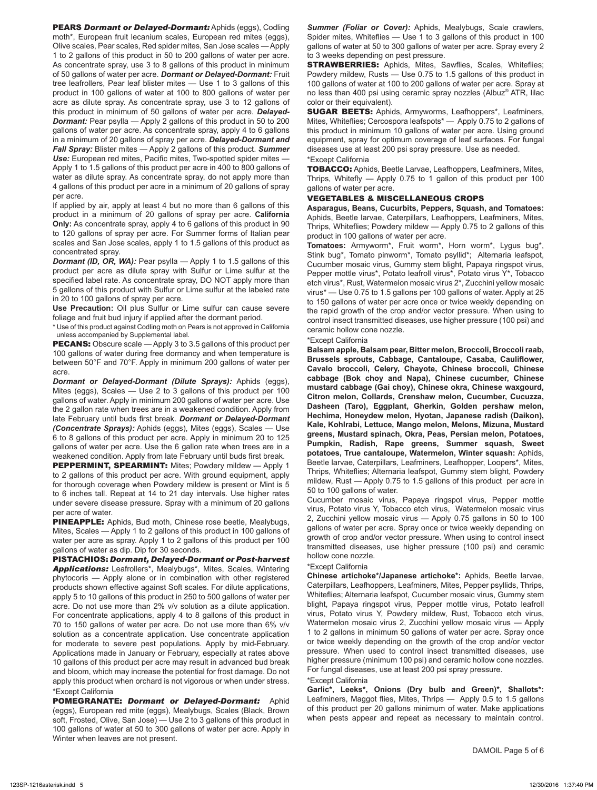PEARS *Dormant or Delayed-Dormant:* Aphids (eggs), Codling moth\*, European fruit lecanium scales, European red mites (eggs), Olive scales, Pear scales, Red spider mites, San Jose scales — Apply 1 to 2 gallons of this product in 50 to 200 gallons of water per acre. As concentrate spray, use 3 to 8 gallons of this product in minimum of 50 gallons of water per acre. *Dormant or Delayed-Dormant:* Fruit tree leafrollers, Pear leaf blister mites — Use 1 to 3 gallons of this product in 100 gallons of water at 100 to 800 gallons of water per acre as dilute spray. As concentrate spray, use 3 to 12 gallons of this product in minimum of 50 gallons of water per acre. *Delayed-Dormant:* Pear psylla — Apply 2 gallons of this product in 50 to 200 gallons of water per acre. As concentrate spray, apply 4 to 6 gallons in a minimum of 20 gallons of spray per acre. *Delayed-Dormant and Fall Spray:* Blister mites — Apply 2 gallons of this product. *Summer*  Use: European red mites, Pacific mites, Two-spotted spider mites -Apply 1 to 1.5 gallons of this product per acre in 400 to 800 gallons of water as dilute spray. As concentrate spray, do not apply more than 4 gallons of this product per acre in a minimum of 20 gallons of spray per acre.

If applied by air, apply at least 4 but no more than 6 gallons of this product in a minimum of 20 gallons of spray per acre. **California Only:** As concentrate spray, apply 4 to 6 gallons of this product in 90 to 120 gallons of spray per acre. For Summer forms of Italian pear scales and San Jose scales, apply 1 to 1.5 gallons of this product as concentrated spray.

*Dormant (ID, OR, WA):* Pear psylla — Apply 1 to 1.5 gallons of this product per acre as dilute spray with Sulfur or Lime sulfur at the specified label rate. As concentrate spray, DO NOT apply more than 5 gallons of this product with Sulfur or Lime sulfur at the labeled rate in 20 to 100 gallons of spray per acre.

**Use Precaution:** Oil plus Sulfur or Lime sulfur can cause severe foliage and fruit bud injury if applied after the dormant period.

\* Use of this product against Codling moth on Pears is not approved in California unless accompanied by Supplemental label.

**PECANS:** Obscure scale — Apply 3 to 3.5 gallons of this product per 100 gallons of water during free dormancy and when temperature is between 50°F and 70°F. Apply in minimum 200 gallons of water per acre.

*Dormant or Delayed-Dormant (Dilute Sprays):* Aphids (eggs), Mites (eggs), Scales — Use 2 to 3 gallons of this product per 100 gallons of water. Apply in minimum 200 gallons of water per acre. Use the 2 gallon rate when trees are in a weakened condition. Apply from late February until buds first break. *Dormant or Delayed-Dormant (Concentrate Sprays):* Aphids (eggs), Mites (eggs), Scales — Use 6 to 8 gallons of this product per acre. Apply in minimum 20 to 125 gallons of water per acre. Use the 6 gallon rate when trees are in a weakened condition. Apply from late February until buds first break.

PEPPERMINT, SPEARMINT: Mites; Powdery mildew - Apply 1 to 2 gallons of this product per acre. With ground equipment, apply for thorough coverage when Powdery mildew is present or Mint is 5 to 6 inches tall. Repeat at 14 to 21 day intervals. Use higher rates under severe disease pressure. Spray with a minimum of 20 gallons per acre of water.

PINEAPPLE: Aphids, Bud moth, Chinese rose beetle, Mealybugs, Mites, Scales — Apply 1 to 2 gallons of this product in 100 gallons of water per acre as spray. Apply 1 to 2 gallons of this product per 100 gallons of water as dip. Dip for 30 seconds.

PISTACHIOS: *Dormant, Delayed-Dormant or Post-harvest Applications:* Leafrollers\*, Mealybugs\*, Mites, Scales, Wintering phytocoris — Apply alone or in combination with other registered products shown effective against Soft scales. For dilute applications, apply 5 to 10 gallons of this product in 250 to 500 gallons of water per acre. Do not use more than 2% v/v solution as a dilute application. For concentrate applications, apply 4 to 8 gallons of this product in 70 to 150 gallons of water per acre. Do not use more than 6% v/v solution as a concentrate application. Use concentrate application for moderate to severe pest populations. Apply by mid-February. Applications made in January or February, especially at rates above 10 gallons of this product per acre may result in advanced bud break and bloom, which may increase the potential for frost damage. Do not apply this product when orchard is not vigorous or when under stress. \*Except California

POMEGRANATE: *Dormant or Delayed-Dormant:* Aphid (eggs), European red mite (eggs), Mealybugs, Scales (Black, Brown soft, Frosted, Olive, San Jose) — Use 2 to 3 gallons of this product in 100 gallons of water at 50 to 300 gallons of water per acre. Apply in Winter when leaves are not present.

*Summer (Foliar or Cover):* Aphids, Mealybugs, Scale crawlers, Spider mites, Whiteflies — Use 1 to 3 gallons of this product in 100 gallons of water at 50 to 300 gallons of water per acre. Spray every 2 to 3 weeks depending on pest pressure.

**STRAWBERRIES:** Aphids, Mites, Sawflies, Scales, Whiteflies; Powdery mildew, Rusts — Use 0.75 to 1.5 gallons of this product in 100 gallons of water at 100 to 200 gallons of water per acre. Spray at no less than 400 psi using ceramic spray nozzles (Albuz® ATR, lilac color or their equivalent).

SUGAR BEETS: Aphids, Armyworms, Leafhoppers\*, Leafminers, Mites, Whiteflies; Cercospora leafspots\* — Apply 0.75 to 2 gallons of this product in minimum 10 gallons of water per acre. Using ground equipment, spray for optimum coverage of leaf surfaces. For fungal diseases use at least 200 psi spray pressure. Use as needed. \*Except California

TOBACCO: Aphids, Beetle Larvae, Leafhoppers, Leafminers, Mites, Thrips, Whitefly — Apply 0.75 to 1 gallon of this product per 100 gallons of water per acre.

#### VEGETABLES & MISCELLANEOUS CROPS

**Asparagus, Beans, Cucurbits, Peppers, Squash, and Tomatoes:**  Aphids, Beetle larvae, Caterpillars, Leafhoppers, Leafminers, Mites, Thrips, Whiteflies; Powdery mildew — Apply 0.75 to 2 gallons of this product in 100 gallons of water per acre.

**Tomatoes:** Armyworm\*, Fruit worm\*, Horn worm\*, Lygus bug\*, Stink bug\*, Tomato pinworm\*, Tomato psyllid\*; Alternaria leafspot, Cucumber mosaic virus, Gummy stem blight, Papaya ringspot virus, Pepper mottle virus\*, Potato leafroll virus\*, Potato virus Y\*, Tobacco etch virus\*, Rust, Watermelon mosaic virus 2\*, Zucchini yellow mosaic virus\* — Use 0.75 to 1.5 gallons per 100 gallons of water. Apply at 25 to 150 gallons of water per acre once or twice weekly depending on the rapid growth of the crop and/or vector pressure. When using to control insect transmitted diseases, use higher pressure (100 psi) and ceramic hollow cone nozzle.

#### \*Except California

**Balsam apple, Balsam pear, Bitter melon, Broccoli, Broccoli raab, Brussels sprouts, Cabbage, Cantaloupe, Casaba, Cauliflower, Cavalo broccoli, Celery, Chayote, Chinese broccoli, Chinese cabbage (Bok choy and Napa), Chinese cucumber, Chinese mustard cabbage (Gai choy), Chinese okra, Chinese waxgourd, Citron melon, Collards, Crenshaw melon, Cucumber, Cucuzza, Dasheen (Taro), Eggplant, Gherkin, Golden pershaw melon, Hechima, Honeydew melon, Hyotan, Japanese radish (Daikon), Kale, Kohlrabi, Lettuce, Mango melon, Melons, Mizuna, Mustard greens, Mustard spinach, Okra, Peas, Persian melon, Potatoes, Pumpkin, Radish, Rape greens, Summer squash, Sweet potatoes, True cantaloupe, Watermelon, Winter squash:** Aphids, Beetle larvae, Caterpillars, Leafminers, Leafhopper, Loopers\*, Mites, Thrips, Whiteflies; Alternaria leafspot, Gummy stem blight, Powdery mildew, Rust — Apply 0.75 to 1.5 gallons of this product per acre in 50 to 100 gallons of water.

Cucumber mosaic virus, Papaya ringspot virus, Pepper mottle virus, Potato virus Y, Tobacco etch virus, Watermelon mosaic virus 2, Zucchini yellow mosaic virus — Apply 0.75 gallons in 50 to 100 gallons of water per acre. Spray once or twice weekly depending on growth of crop and/or vector pressure. When using to control insect transmitted diseases, use higher pressure (100 psi) and ceramic hollow cone nozzle.

#### \*Except California

**Chinese artichoke\*/Japanese artichoke\*:** Aphids, Beetle larvae, Caterpillars, Leafhoppers, Leafminers, Mites, Pepper psyllids, Thrips, Whiteflies; Alternaria leafspot, Cucumber mosaic virus, Gummy stem blight, Papaya ringspot virus, Pepper mottle virus, Potato leafroll virus, Potato virus Y, Powdery mildew, Rust, Tobacco etch virus, Watermelon mosaic virus 2, Zucchini yellow mosaic virus — Apply 1 to 2 gallons in minimum 50 gallons of water per acre. Spray once or twice weekly depending on the growth of the crop and/or vector pressure. When used to control insect transmitted diseases, use higher pressure (minimum 100 psi) and ceramic hollow cone nozzles. For fungal diseases, use at least 200 psi spray pressure.

#### \*Except California

**Garlic\*, Leeks\*, Onions (Dry bulb and Green)\*, Shallots\*:**  Leafminers, Maggot flies, Mites, Thrips — Apply 0.5 to 1.5 gallons of this product per 20 gallons minimum of water. Make applications when pests appear and repeat as necessary to maintain control.